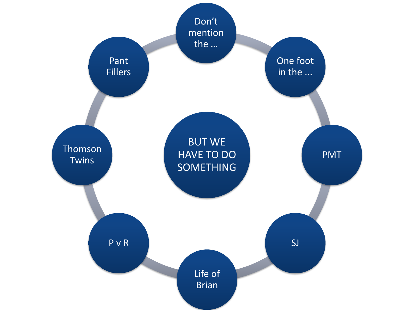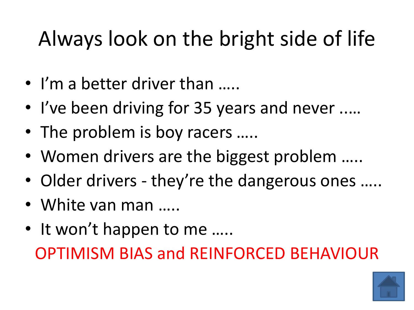# <span id="page-1-0"></span>Always look on the bright side of life

- I'm a better driver than …..
- I've been driving for 35 years and never ..…
- The problem is boy racers .....
- Women drivers are the biggest problem .....
- Older drivers they're the dangerous ones .....
- White van man ……
- It won't happen to me ..... OPTIMISM BIAS and REINFORCED BEHAVIOUR

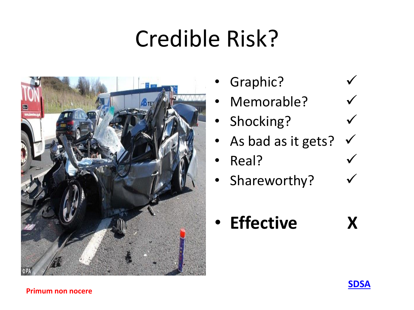# Credible Risk?

<span id="page-2-0"></span>

- Graphic?
- Memorable?
- Shocking?
- As bad as it gets?
- Real?
- Shareworthy?

• **Effective X**

#### **Primum non nocere**

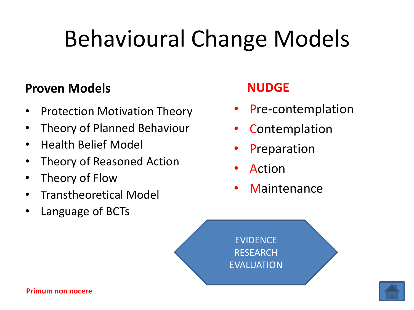# <span id="page-3-0"></span>Behavioural Change Models

#### **Proven Models**

- Protection Motivation Theory
- Theory of Planned Behaviour
- Health Belief Model
- Theory of Reasoned Action
- Theory of Flow
- Transtheoretical Model
- Language of BCTs

#### **NUDGE**

- Pre-contemplation
- **Contemplation**
- **Preparation**
- Action
- **Maintenance**

EVIDENCE **RESEARCH** EVALUATION

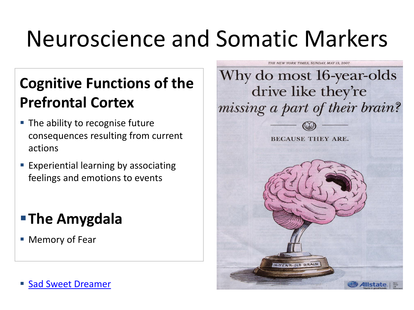# <span id="page-4-0"></span>Neuroscience and Somatic Markers

### **Cognitive Functions of the Prefrontal Cortex**

- The ability to recognise future consequences resulting from current actions
- **Experiential learning by associating** feelings and emotions to events

### **The Amygdala**

Memory of Fear

[Sad Sweet Dreamer](#page-5-0)

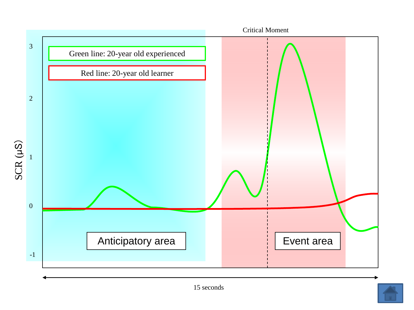<span id="page-5-0"></span>

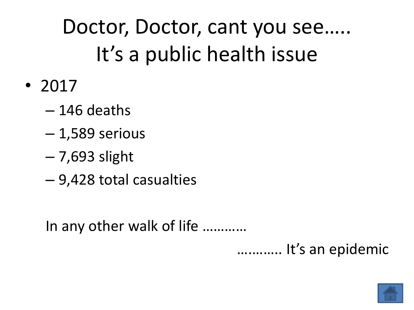# <span id="page-6-0"></span>Doctor, Doctor, cant you see….. It's a public health issue

- 2017
	- 146 deaths
	- 1,589 serious
	- 7,693 slight
	- 9,428 total casualties

In any other walk of life …………

….…….. It's an epidemic

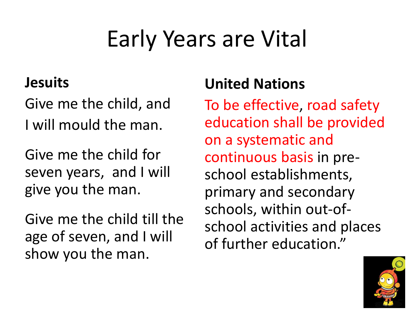# Early Years are Vital

#### <span id="page-7-0"></span>**Jesuits**

Give me the child, and I will mould the man.

Give me the child for seven years, and I will give you the man.

Give me the child till the age of seven, and I will show you the man.

#### **United Nations**

To be effective, road safety education shall be provided on a systematic and continuous basis in preschool establishments, primary and secondary schools, within out-ofschool activities and places of further education."

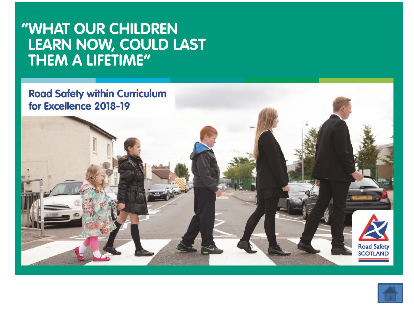## "WHAT OUR CHILDREN LEARN NOW, COULD LAST



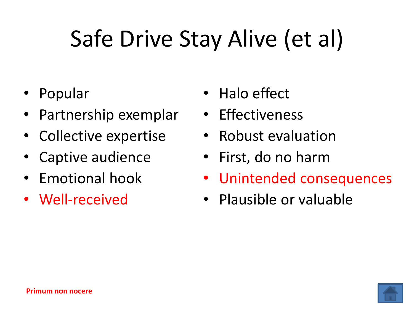# <span id="page-9-0"></span>Safe Drive Stay Alive (et al)

- Popular
- Partnership exemplar
- Collective expertise
- Captive audience
- Emotional hook
- Well-received
- Halo effect
- Effectiveness
- Robust evaluation
- First, do no harm
- Unintended consequences
- Plausible or valuable

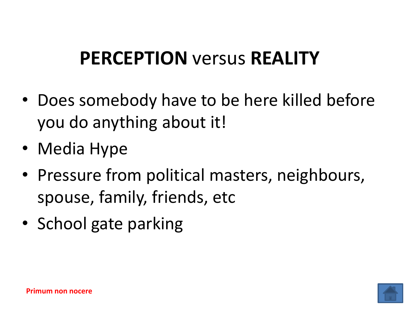### <span id="page-10-0"></span>**PERCEPTION** versus **REALITY**

- Does somebody have to be here killed before you do anything about it!
- Media Hype
- Pressure from political masters, neighbours, spouse, family, friends, etc
- School gate parking

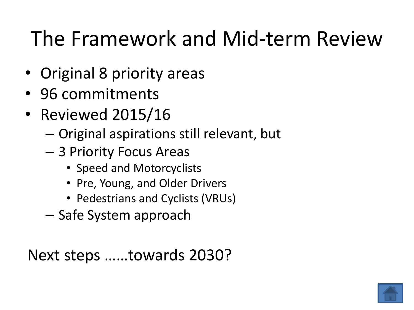## <span id="page-11-0"></span>The Framework and Mid-term Review

- Original 8 priority areas
- 96 commitments
- Reviewed 2015/16
	- Original aspirations still relevant, but
	- 3 Priority Focus Areas
		- Speed and Motorcyclists
		- Pre, Young, and Older Drivers
		- Pedestrians and Cyclists (VRUs)
	- Safe System approach

Next steps ……towards 2030?